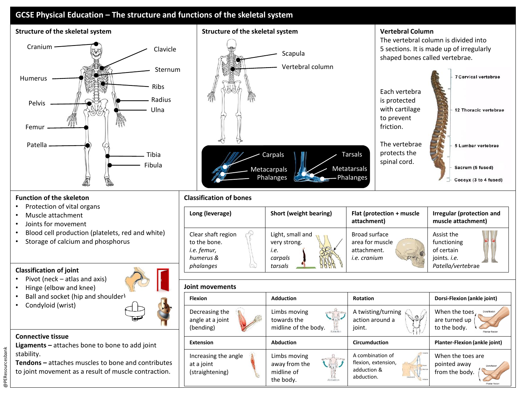

**Metacarpals** Phalanges

## **Function of the skeleton**

- Protection of vital organs
- Muscle attachment
- Joints for movement
- Blood cell production (platelets, red and white)
- Storage of calcium and phosphorus

## **Classification of joint**

- Pivot (neck atlas and axis)
- Hinge (elbow and knee)
- Ball and socket (hip and shoulder)
- Condyloid (wrist)



Fibula

## **Connective tissue**

**Ligaments –** attaches bone to bone to add joint stability.

**Tendons –** attaches muscles to bone and contributes to joint movement as a result of muscle contraction.



**Metatarsals** Phalanges spinal cord.

Sacrum (5 fused) Coccyx (3 to 4 fused)

## **Joint movements**

| <b>Flexion</b>                                        | <b>Adduction</b>                                                                                                                                                                                                                                                                                                                                                                                       | <b>Rotation</b>                                                                                                           | Dorsi-Flexion (ankle joint)                                                      |
|-------------------------------------------------------|--------------------------------------------------------------------------------------------------------------------------------------------------------------------------------------------------------------------------------------------------------------------------------------------------------------------------------------------------------------------------------------------------------|---------------------------------------------------------------------------------------------------------------------------|----------------------------------------------------------------------------------|
| Decreasing the<br>angle at a joint<br>(bending)       | Limbs moving<br>towards the<br>$\frac{\sum_{i=1}^{n} \sum_{i=1}^{n} \sum_{j=1}^{n} \sum_{i=1}^{n} \sum_{j=1}^{n} \sum_{j=1}^{n} \sum_{j=1}^{n} \sum_{j=1}^{n} \sum_{j=1}^{n} \sum_{j=1}^{n} \sum_{j=1}^{n} \sum_{j=1}^{n} \sum_{j=1}^{n} \sum_{j=1}^{n} \sum_{j=1}^{n} \sum_{j=1}^{n} \sum_{j=1}^{n} \sum_{j=1}^{n} \sum_{j=1}^{n} \sum_{j=1}^{n} \sum_{j=1}^{n} \sum_{j=1}^{$<br>midline of the body. | A twisting/turning<br>$\mathcal{A} \otimes \mathcal{P}$<br>action around a<br>joint.                                      | When the toes<br>Dorsifiexio<br>are turned up<br>to the body.<br>Plantar flexion |
| <b>Extension</b>                                      | <b>Abduction</b>                                                                                                                                                                                                                                                                                                                                                                                       | Circumduction                                                                                                             | <b>Planter-Flexion (ankle joint)</b>                                             |
| Increasing the angle<br>at a joint<br>(straightening) | Limbs moving<br>away from the<br>midline of<br>the body.<br>Abduction                                                                                                                                                                                                                                                                                                                                  | <b>Bodario</b><br>A combination of<br>flexion, extension,<br>adduction &<br>Edatoin<br>abduction.<br>Cenessador<br>Assets | When the toes are<br>pointed away<br>Dorsifiedor<br>from the body.               |

@PEResourcesbank @PEResourcesbank